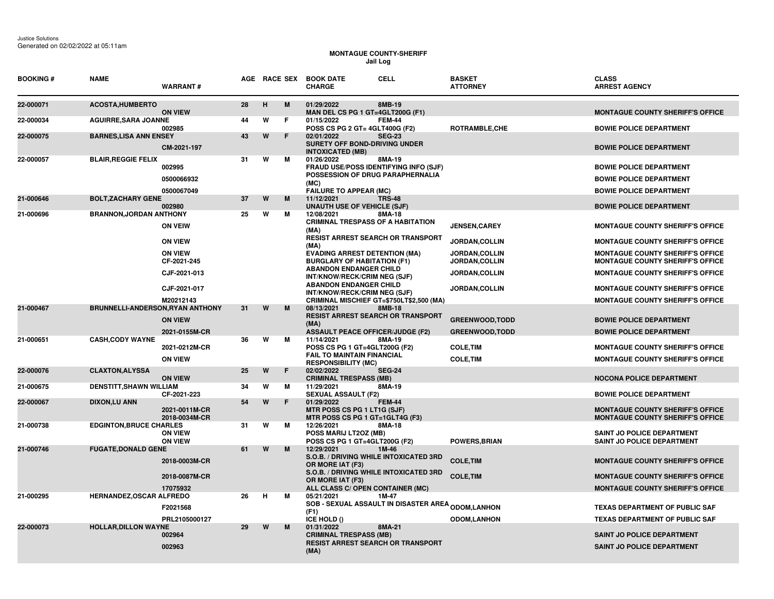## **MONTAGUE COUNTY-SHERIFF Jail Log**

| <b>BOOKING#</b> | <b>NAME</b>                             | <b>WARRANT#</b>                  |    |   |   | AGE RACE SEX BOOK DATE<br><b>CHARGE</b>                                                                | CELL          | <b>BASKET</b><br><b>ATTORNEY</b> | <b>CLASS</b><br><b>ARREST AGENCY</b>                                               |
|-----------------|-----------------------------------------|----------------------------------|----|---|---|--------------------------------------------------------------------------------------------------------|---------------|----------------------------------|------------------------------------------------------------------------------------|
| 22-000071       | ACOSTA, HUMBERTO                        | <b>ON VIEW</b>                   | 28 | н | M | 01/29/2022<br>MAN DEL CS PG 1 GT=4GLT200G (F1)                                                         | 8MB-19        |                                  | <b>MONTAGUE COUNTY SHERIFF'S OFFICE</b>                                            |
| 22-000034       | <b>AGUIRRE, SARA JOANNE</b>             | 002985                           | 44 | W | F | 01/15/2022<br><b>POSS CS PG 2 GT= 4GLT400G (F2)</b>                                                    | <b>FEM-44</b> | <b>ROTRAMBLE,CHE</b>             | <b>BOWIE POLICE DEPARTMENT</b>                                                     |
| 22-000075       | <b>BARNES, LISA ANN ENSEY</b>           | CM-2021-197                      | 43 | W | F | 02/01/2022<br><b>SURETY OFF BOND-DRIVING UNDER</b><br><b>INTOXICATED (MB)</b>                          | <b>SEG-23</b> |                                  | <b>BOWIE POLICE DEPARTMENT</b>                                                     |
| 22-000057       | <b>BLAIR, REGGIE FELIX</b>              | 002995<br>0500066932             | 31 | W | м | 01/26/2022<br><b>FRAUD USE/POSS IDENTIFYING INFO (SJF)</b><br>POSSESSION OF DRUG PARAPHERNALIA<br>(MC) | 8MA-19        |                                  | <b>BOWIE POLICE DEPARTMENT</b><br><b>BOWIE POLICE DEPARTMENT</b>                   |
| 21-000646       | <b>BOLT, ZACHARY GENE</b>               | 0500067049                       | 37 | W | M | <b>FAILURE TO APPEAR (MC)</b><br>11/12/2021                                                            | <b>TRS-48</b> |                                  | <b>BOWIE POLICE DEPARTMENT</b>                                                     |
|                 |                                         | 002980                           |    |   |   | <b>UNAUTH USE OF VEHICLE (SJF)</b>                                                                     |               |                                  | <b>BOWIE POLICE DEPARTMENT</b>                                                     |
| 21-000696       | <b>BRANNON, JORDAN ANTHONY</b>          | <b>ON VEIW</b>                   | 25 | W | м | 12/08/2021<br><b>CRIMINAL TRESPASS OF A HABITATION</b><br>(MA)                                         | 8MA-18        | <b>JENSEN, CAREY</b>             | <b>MONTAGUE COUNTY SHERIFF'S OFFICE</b>                                            |
|                 |                                         | <b>ON VIEW</b>                   |    |   |   | <b>RESIST ARREST SEARCH OR TRANSPORT</b><br>(MA)                                                       |               | JORDAN, COLLIN                   | <b>MONTAGUE COUNTY SHERIFF'S OFFICE</b>                                            |
|                 |                                         | <b>ON VIEW</b><br>CF-2021-245    |    |   |   | <b>EVADING ARREST DETENTION (MA)</b><br><b>BURGLARY OF HABITATION (F1)</b>                             |               | JORDAN, COLLIN<br>JORDAN, COLLIN | <b>MONTAGUE COUNTY SHERIFF'S OFFICE</b><br><b>MONTAGUE COUNTY SHERIFF'S OFFICE</b> |
|                 |                                         | CJF-2021-013                     |    |   |   | <b>ABANDON ENDANGER CHILD</b><br>INT/KNOW/RECK/CRIM NEG (SJF)                                          |               | JORDAN, COLLIN                   | <b>MONTAGUE COUNTY SHERIFF'S OFFICE</b>                                            |
|                 |                                         | CJF-2021-017                     |    |   |   | <b>ABANDON ENDANGER CHILD</b><br>INT/KNOW/RECK/CRIM NEG (SJF)                                          |               | <b>JORDAN, COLLIN</b>            | <b>MONTAGUE COUNTY SHERIFF'S OFFICE</b>                                            |
|                 | <b>BRUNNELLI-ANDERSON, RYAN ANTHONY</b> | M20212143                        |    | W | M | CRIMINAL MISCHIEF GT=\$750LT\$2,500 (MA)<br>08/13/2021                                                 | 8MB-18        |                                  | <b>MONTAGUE COUNTY SHERIFF'S OFFICE</b>                                            |
| 21-000467       |                                         | <b>ON VIEW</b>                   | 31 |   |   | <b>RESIST ARREST SEARCH OR TRANSPORT</b><br>(MA)                                                       |               | <b>GREENWOOD, TODD</b>           | <b>BOWIE POLICE DEPARTMENT</b>                                                     |
|                 |                                         | 2021-0155M-CR                    |    |   |   | <b>ASSAULT PEACE OFFICER/JUDGE (F2)</b>                                                                |               | <b>GREENWOOD, TODD</b>           | <b>BOWIE POLICE DEPARTMENT</b>                                                     |
| 21-000651       | <b>CASH, CODY WAYNE</b>                 | 2021-0212M-CR                    | 36 | W | м | 11/14/2021<br>POSS CS PG 1 GT=4GLT200G (F2)<br>FAIL TO MAINTAIN FINANCIAL                              | 8MA-19        | <b>COLE, TIM</b>                 | <b>MONTAGUE COUNTY SHERIFF'S OFFICE</b>                                            |
|                 |                                         | <b>ON VIEW</b>                   |    |   |   | <b>RESPONSIBILITY (MC)</b>                                                                             |               | <b>COLE, TIM</b>                 | <b>MONTAGUE COUNTY SHERIFF'S OFFICE</b>                                            |
| 22-000076       | <b>CLAXTON, ALYSSA</b>                  | <b>ON VIEW</b>                   | 25 | W | F | 02/02/2022<br><b>CRIMINAL TRESPASS (MB)</b>                                                            | <b>SEG-24</b> |                                  | <b>NOCONA POLICE DEPARTMENT</b>                                                    |
| 21-000675       | <b>DENSTITT, SHAWN WILLIAM</b>          | CF-2021-223                      | 34 | W | м | 11/29/2021<br><b>SEXUAL ASSAULT (F2)</b>                                                               | 8MA-19        |                                  | <b>BOWIE POLICE DEPARTMENT</b>                                                     |
| 22-000067       | <b>DIXON,LU ANN</b>                     | 2021-0011M-CR<br>2018-0034M-CR   | 54 | W | F | 01/29/2022<br>MTR POSS CS PG 1 LT1G (SJF)<br>MTR POSS CS PG 1 GT=1GLT4G (F3)                           | <b>FEM-44</b> |                                  | <b>MONTAGUE COUNTY SHERIFF'S OFFICE</b><br><b>MONTAGUE COUNTY SHERIFF'S OFFICE</b> |
| 21-000738       | <b>EDGINTON, BRUCE CHARLES</b>          | <b>ON VIEW</b><br><b>ON VIEW</b> | 31 | W | м | 12/26/2021<br>POSS MARIJ LT2OZ (MB)<br>POSS CS PG 1 GT=4GLT200G (F2)                                   | 8MA-18        | POWERS, BRIAN                    | SAINT JO POLICE DEPARTMENT<br><b>SAINT JO POLICE DEPARTMENT</b>                    |
| 21-000746       | <b>FUGATE, DONALD GENE</b>              |                                  | 61 | W | М | 12/29/2021                                                                                             | 1M-46         |                                  |                                                                                    |
|                 |                                         | 2018-0003M-CR                    |    |   |   | S.O.B. / DRIVING WHILE INTOXICATED 3RD<br>OR MORE IAT (F3)                                             |               | <b>COLE, TIM</b>                 | <b>MONTAGUE COUNTY SHERIFF'S OFFICE</b>                                            |
|                 |                                         | 2018-0087M-CR<br>17075932        |    |   |   | S.O.B. / DRIVING WHILE INTOXICATED 3RD<br>OR MORE IAT (F3)<br>ALL CLASS C/ OPEN CONTAINER (MC)         |               | <b>COLE, TIM</b>                 | <b>MONTAGUE COUNTY SHERIFF'S OFFICE</b><br><b>MONTAGUE COUNTY SHERIFF'S OFFICE</b> |
| 21-000295       | <b>HERNANDEZ, OSCAR ALFREDO</b>         |                                  | 26 | н | м | 05/21/2021                                                                                             | 1M-47         |                                  |                                                                                    |
|                 |                                         | F2021568                         |    |   |   | <b>SOB - SEXUAL ASSAULT IN DISASTER AREA <sub>ODOM,</sub>LANHON</b><br>(F1)                            |               |                                  | <b>TEXAS DEPARTMENT OF PUBLIC SAF</b>                                              |
|                 |                                         | PRL2105000127                    | 29 | W | М | ICE HOLD ()<br>01/31/2022                                                                              | 8MA-21        | <b>ODOM,LANHON</b>               | <b>TEXAS DEPARTMENT OF PUBLIC SAF</b>                                              |
| 22-000073       | <b>HOLLAR, DILLON WAYNE</b>             | 002964<br>002963                 |    |   |   | <b>CRIMINAL TRESPASS (MB)</b><br><b>RESIST ARREST SEARCH OR TRANSPORT</b>                              |               |                                  | SAINT JO POLICE DEPARTMENT<br><b>SAINT JO POLICE DEPARTMENT</b>                    |
|                 |                                         |                                  |    |   |   | (MA)                                                                                                   |               |                                  |                                                                                    |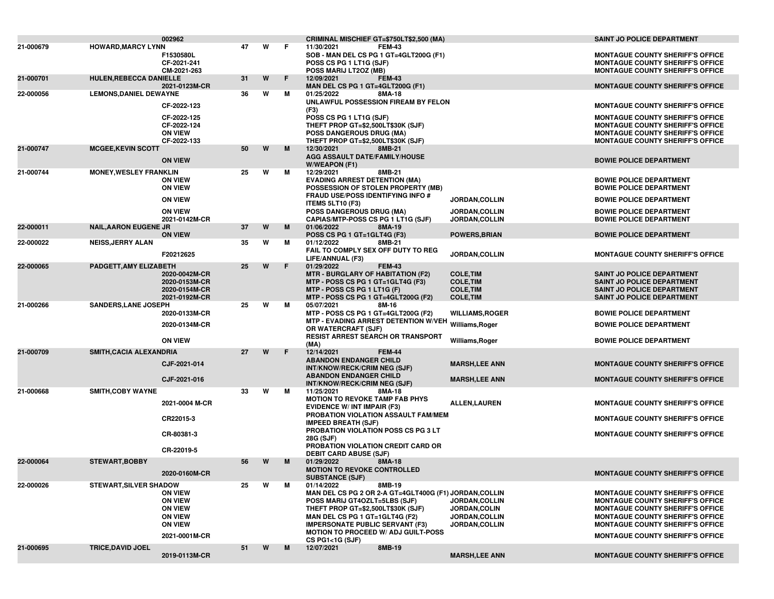|           |                               | 002962                                                                                                  |    |   |    | CRIMINAL MISCHIEF GT=\$750LT\$2,500 (MA)                                                                                                                                                                                                                |                                                                              | <b>SAINT JO POLICE DEPARTMENT</b>                                                                                                                                                                                                                              |
|-----------|-------------------------------|---------------------------------------------------------------------------------------------------------|----|---|----|---------------------------------------------------------------------------------------------------------------------------------------------------------------------------------------------------------------------------------------------------------|------------------------------------------------------------------------------|----------------------------------------------------------------------------------------------------------------------------------------------------------------------------------------------------------------------------------------------------------------|
| 21-000679 | <b>HOWARD, MARCY LYNN</b>     | F1530580L<br>CF-2021-241                                                                                | 47 | W | F. | 11/30/2021<br><b>FEM-43</b><br>SOB - MAN DEL CS PG 1 GT=4GLT200G (F1)<br>POSS CS PG 1 LT1G (SJF)                                                                                                                                                        |                                                                              | <b>MONTAGUE COUNTY SHERIFF'S OFFICE</b><br><b>MONTAGUE COUNTY SHERIFF'S OFFICE</b>                                                                                                                                                                             |
| 21-000701 | HULEN, REBECCA DANIELLE       | CM-2021-263                                                                                             | 31 | W | F  | POSS MARIJ LT2OZ (MB)<br>12/09/2021<br><b>FEM-43</b>                                                                                                                                                                                                    |                                                                              | <b>MONTAGUE COUNTY SHERIFF'S OFFICE</b>                                                                                                                                                                                                                        |
| 22-000056 | <b>LEMONS, DANIEL DEWAYNE</b> | 2021-0123M-CR                                                                                           | 36 | W | м  | MAN DEL CS PG 1 GT=4GLT200G (F1)<br>8MA-18<br>01/25/2022                                                                                                                                                                                                |                                                                              | <b>MONTAGUE COUNTY SHERIFF'S OFFICE</b>                                                                                                                                                                                                                        |
|           |                               | CF-2022-123                                                                                             |    |   |    | UNLAWFUL POSSESSION FIREAM BY FELON<br>(F3)                                                                                                                                                                                                             |                                                                              | <b>MONTAGUE COUNTY SHERIFF'S OFFICE</b>                                                                                                                                                                                                                        |
|           |                               | CF-2022-125<br>CF-2022-124<br><b>ON VIEW</b><br>CF-2022-133                                             |    |   |    | POSS CS PG 1 LT1G (SJF)<br>THEFT PROP GT=\$2,500LT\$30K (SJF)<br>POSS DANGEROUS DRUG (MA)<br>THEFT PROP GT=\$2,500LT\$30K (SJF)                                                                                                                         |                                                                              | <b>MONTAGUE COUNTY SHERIFF'S OFFICE</b><br><b>MONTAGUE COUNTY SHERIFF'S OFFICE</b><br><b>MONTAGUE COUNTY SHERIFF'S OFFICE</b><br><b>MONTAGUE COUNTY SHERIFF'S OFFICE</b>                                                                                       |
| 21-000747 | <b>MCGEE,KEVIN SCOTT</b>      | <b>ON VIEW</b>                                                                                          | 50 | W | M  | 12/30/2021<br>8MB-21<br><b>AGG ASSAULT DATE/FAMILY/HOUSE</b>                                                                                                                                                                                            |                                                                              | <b>BOWIE POLICE DEPARTMENT</b>                                                                                                                                                                                                                                 |
| 21-000744 | <b>MONEY, WESLEY FRANKLIN</b> |                                                                                                         | 25 | w | М  | <b>W/WEAPON (F1)</b><br>12/29/2021<br>8MB-21                                                                                                                                                                                                            |                                                                              |                                                                                                                                                                                                                                                                |
|           |                               | <b>ON VIEW</b><br><b>ON VIEW</b>                                                                        |    |   |    | <b>EVADING ARREST DETENTION (MA)</b><br>POSSESSION OF STOLEN PROPERTY (MB)<br><b>FRAUD USE/POSS IDENTIFYING INFO #</b>                                                                                                                                  |                                                                              | <b>BOWIE POLICE DEPARTMENT</b><br><b>BOWIE POLICE DEPARTMENT</b>                                                                                                                                                                                               |
|           |                               | <b>ON VIEW</b>                                                                                          |    |   |    | <b>ITEMS 5LT10 (F3)</b>                                                                                                                                                                                                                                 | JORDAN, COLLIN                                                               | <b>BOWIE POLICE DEPARTMENT</b>                                                                                                                                                                                                                                 |
|           |                               | <b>ON VIEW</b><br>2021-0142M-CR                                                                         |    |   |    | POSS DANGEROUS DRUG (MA)<br>CAPIAS/MTP-POSS CS PG 1 LT1G (SJF)                                                                                                                                                                                          | <b>JORDAN,COLLIN</b><br>JORDAN, COLLIN                                       | <b>BOWIE POLICE DEPARTMENT</b><br><b>BOWIE POLICE DEPARTMENT</b>                                                                                                                                                                                               |
| 22-000011 | <b>NAIL, AARON EUGENE JR</b>  | <b>ON VIEW</b>                                                                                          | 37 | W | M  | 01/06/2022<br>8MA-19<br>POSS CS PG 1 GT=1GLT4G (F3)                                                                                                                                                                                                     | <b>POWERS, BRIAN</b>                                                         | <b>BOWIE POLICE DEPARTMENT</b>                                                                                                                                                                                                                                 |
| 22-000022 | <b>NEISS, JERRY ALAN</b>      | F20212625                                                                                               | 35 | w | м  | 01/12/2022<br>8MB-21<br>FAIL TO COMPLY SEX OFF DUTY TO REG                                                                                                                                                                                              | JORDAN, COLLIN                                                               | <b>MONTAGUE COUNTY SHERIFF'S OFFICE</b>                                                                                                                                                                                                                        |
| 22-000065 | PADGETT, AMY ELIZABETH        |                                                                                                         | 25 | W | F  | LIFE/ANNUAL (F3)<br>01/29/2022<br><b>FEM-43</b>                                                                                                                                                                                                         |                                                                              |                                                                                                                                                                                                                                                                |
|           |                               | 2020-0042M-CR<br>2020-0153M-CR<br>2020-0154M-CR<br>2021-0192M-CR                                        |    |   |    | <b>MTR - BURGLARY OF HABITATION (F2)</b><br>MTP - POSS CS PG 1 GT=1GLT4G (F3)<br>MTP - POSS CS PG 1 LT1G (F)<br>MTP - POSS CS PG 1 GT=4GLT200G (F2)                                                                                                     | <b>COLE, TIM</b><br><b>COLE, TIM</b><br><b>COLE, TIM</b><br><b>COLE, TIM</b> | <b>SAINT JO POLICE DEPARTMENT</b><br><b>SAINT JO POLICE DEPARTMENT</b><br>SAINT JO POLICE DEPARTMENT<br><b>SAINT JO POLICE DEPARTMENT</b>                                                                                                                      |
| 21-000266 | <b>SANDERS, LANE JOSEPH</b>   |                                                                                                         | 25 | W | м  | 05/07/2021<br>8M-16                                                                                                                                                                                                                                     |                                                                              |                                                                                                                                                                                                                                                                |
|           |                               | 2020-0133M-CR<br>2020-0134M-CR                                                                          |    |   |    | MTP - POSS CS PG 1 GT=4GLT200G (F2)<br>MTP - EVADING ARREST DETENTION W/VEH Williams, Roger<br>OR WATERCRAFT (SJF)                                                                                                                                      | <b>WILLIAMS, ROGER</b>                                                       | <b>BOWIE POLICE DEPARTMENT</b><br><b>BOWIE POLICE DEPARTMENT</b>                                                                                                                                                                                               |
|           |                               | <b>ON VIEW</b>                                                                                          |    |   |    | <b>RESIST ARREST SEARCH OR TRANSPORT</b><br>(MA)                                                                                                                                                                                                        | Williams, Roger                                                              | <b>BOWIE POLICE DEPARTMENT</b>                                                                                                                                                                                                                                 |
| 21-000709 | SMITH, CACIA ALEXANDRIA       |                                                                                                         | 27 | W | F  | 12/14/2021<br><b>FEM-44</b>                                                                                                                                                                                                                             |                                                                              |                                                                                                                                                                                                                                                                |
|           |                               | CJF-2021-014                                                                                            |    |   |    | <b>ABANDON ENDANGER CHILD</b><br>INT/KNOW/RECK/CRIM NEG (SJF)<br><b>ABANDON ENDANGER CHILD</b>                                                                                                                                                          | <b>MARSH,LEE ANN</b>                                                         | <b>MONTAGUE COUNTY SHERIFF'S OFFICE</b>                                                                                                                                                                                                                        |
|           |                               | CJF-2021-016                                                                                            |    |   |    | INT/KNOW/RECK/CRIM NEG (SJF)                                                                                                                                                                                                                            | <b>MARSH,LEE ANN</b>                                                         | <b>MONTAGUE COUNTY SHERIFF'S OFFICE</b>                                                                                                                                                                                                                        |
| 21-000668 | <b>SMITH, COBY WAYNE</b>      |                                                                                                         | 33 | W | М  | 11/25/2021<br>8MA-18                                                                                                                                                                                                                                    |                                                                              |                                                                                                                                                                                                                                                                |
|           |                               | 2021-0004 M-CR                                                                                          |    |   |    | <b>MOTION TO REVOKE TAMP FAB PHYS</b><br><b>EVIDENCE W/ INT IMPAIR (F3)</b>                                                                                                                                                                             | <b>ALLEN,LAUREN</b>                                                          | <b>MONTAGUE COUNTY SHERIFF'S OFFICE</b>                                                                                                                                                                                                                        |
|           |                               | CR22015-3                                                                                               |    |   |    | PROBATION VIOLATION ASSAULT FAM/MEM<br><b>IMPEED BREATH (SJF)</b>                                                                                                                                                                                       |                                                                              | <b>MONTAGUE COUNTY SHERIFF'S OFFICE</b>                                                                                                                                                                                                                        |
|           |                               | CR-80381-3                                                                                              |    |   |    | PROBATION VIOLATION POSS CS PG 3 LT<br>28G (SJF)                                                                                                                                                                                                        |                                                                              | <b>MONTAGUE COUNTY SHERIFF'S OFFICE</b>                                                                                                                                                                                                                        |
|           |                               | CR-22019-5                                                                                              |    |   |    | PROBATION VIOLATION CREDIT CARD OR<br><b>DEBIT CARD ABUSE (SJF)</b>                                                                                                                                                                                     |                                                                              |                                                                                                                                                                                                                                                                |
| 22-000064 | <b>STEWART.BOBBY</b>          | 2020-0160M-CR                                                                                           | 56 | W | M  | 01/29/2022<br>8MA-18<br><b>MOTION TO REVOKE CONTROLLED</b><br><b>SUBSTANCE (SJF)</b>                                                                                                                                                                    |                                                                              | MONTAGUE COUNTY SHERIFF'S OFFICE                                                                                                                                                                                                                               |
| 22-000026 | <b>STEWART, SILVER SHADOW</b> |                                                                                                         | 25 | W | М  | 01/14/2022<br>8MB-19                                                                                                                                                                                                                                    |                                                                              |                                                                                                                                                                                                                                                                |
|           |                               | <b>ON VIEW</b><br><b>ON VIEW</b><br><b>ON VIEW</b><br><b>ON VIEW</b><br><b>ON VIEW</b><br>2021-0001M-CR |    |   |    | MAN DEL CS PG 2 OR 2-A GT=4GLT400G (F1) JORDAN, COLLIN<br>POSS MARIJ GT4OZLT=5LBS (SJF)<br>THEFT PROP GT=\$2,500LT\$30K (SJF)<br>MAN DEL CS PG 1 GT=1GLT4G (F2)<br><b>IMPERSONATE PUBLIC SERVANT (F3)</b><br><b>MOTION TO PROCEED W/ ADJ GUILT-POSS</b> | JORDAN, COLLIN<br><b>JORDAN.COLIN</b><br>JORDAN, COLLIN<br>JORDAN, COLLIN    | <b>MONTAGUE COUNTY SHERIFF'S OFFICE</b><br><b>MONTAGUE COUNTY SHERIFF'S OFFICE</b><br><b>MONTAGUE COUNTY SHERIFF'S OFFICE</b><br><b>MONTAGUE COUNTY SHERIFF'S OFFICE</b><br><b>MONTAGUE COUNTY SHERIFF'S OFFICE</b><br><b>MONTAGUE COUNTY SHERIFF'S OFFICE</b> |
| 21-000695 | <b>TRICE, DAVID JOEL</b>      |                                                                                                         | 51 | W | M  | CS PG1<1G (SJF)<br>12/07/2021<br>8MB-19                                                                                                                                                                                                                 |                                                                              |                                                                                                                                                                                                                                                                |
|           |                               | 2019-0113M-CR                                                                                           |    |   |    |                                                                                                                                                                                                                                                         | <b>MARSH,LEE ANN</b>                                                         | <b>MONTAGUE COUNTY SHERIFF'S OFFICE</b>                                                                                                                                                                                                                        |